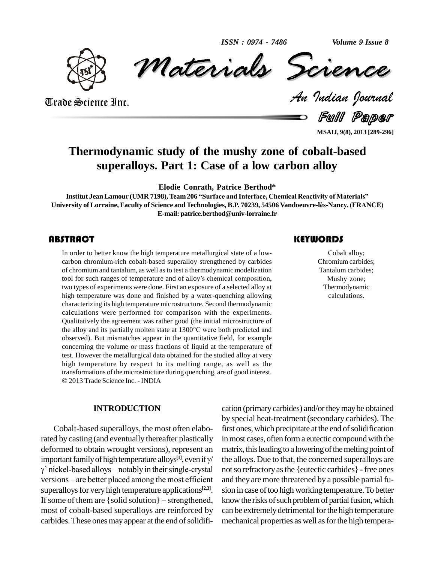*Volume 9 Issue 8*



*Materials* Science *Volume 9 Issue 8*<br> *Indian Pournal* ISSN : 0974 - 7486 Volume 9 Issue 8

Trade Science Inc. Trade Science Inc.

Full Paper

**MSAIJ, 9(8), 2013 [289-296]**

# **Thermodynamic study of the mushy zone of cobalt-based superalloys. Part 1: Case of a low carbon alloy**

**Elodie Conrath, Patrice Berthod\***

**Institut Jean Lamour (UMR 7198), Team 206 "Surface and Interface, Chemical Reactivity of Materials" University of Lorraine, Faculty of Science and Technologies, B.P. 70239, <sup>54506</sup> Vandoeuvre-lËs-Nancy, (FRANCE) E-mail: [patrice.berthod@univ-lorraine.fr](mailto:patrice.berthod@univ-lorraine.fr)**

## **ABSTRACT**

The order to better know the high temperature metallurgical state of a low-<br>
carbon chromium-rich cobalt-based superalloy strengthened by carbides<br>
of chromium and tantalum, as well as to test a thermodynamic modelization<br> In order to better know the high temperature metallurgical state of a low carbon chromium-rich cobalt-based superalloy strengthened by carbides of chromium and tantalum, as well asto testa thermodynamic modelization carbon chromium-rich cobalt-based superalloy strengthened by carbides<br>of chromium and tantalum, as well as to test a thermodynamic modelization<br>tool for such ranges of temperature and of alloy's chemical composition, two types of experiments were done. First an exposure of a selected alloy at high temperature was done and finished by a water-quenching allowing characterizing its high temperature microstructure. Second thermodynamic calculations were performed for comparison with the experiments. Qualitatively the agreement was rather good (the initial microstructure of calculations were performed for comparison with the experiments.<br>Qualitatively the agreement was rather good (the initial microstructure of<br>the alloy and its partially molten state at 1300°C were both predicted and observed). But mismatches appear in the quantitative field, for example concerning the volume or mass fractions of liquid at the temperature of test. However the metallurgical data obtained for the studied alloy at very high temperature by respect to its melting range, as well as the transformations of the microstructure during quenching, are of good interest. 2013Trade Science Inc. - INDIA

## **INTRODUCTION**

Cobalt-based superalloys, the most often elaborated by casting (and eventually thereafter plastically deformed to obtain wrought versions), represent an matrix, rated by casting (and eventually thereafter plastically in redeformed to obtain wrought versions), represent an man important family of high temperature alloys<sup>[1]</sup>, even if  $\gamma$  the formed to obtain wrought versions), represent an<br>portant family of high temperature alloys<sup>[1]</sup>, even if  $\gamma$  the<br>nickel-based alloys – notably in their single-crystal  $\gamma$ ' nickel-based alloys – notably in their single-crystal superalloys for very high temperature applications<sup>[2,3]</sup>. sionversions – are better placed among the most efficient<br>superalloys for very high temperature applications<sup>[2,3]</sup>.<br>If some of them are {solid solution} – strengthened, most of cobalt-based superalloys are reinforced by carbides. These ones may appear at the end of solidifi-

# **KEYWORDS**

Cobalt alloy; Chromium carbides; Tantalum carbides; Mushy zone; Thermodynamic calculations.

cation (primarycarbides) and/ortheymaybe obtained by special heat-treatment (secondary carbides). The first ones, which precipitate at the end of solidification in most cases, often form a eutectic compound with the matrix, this leading to a lowering of the melting point of the alloys. Due to that, the concerned superalloys are not so refractory as the {eutectic carbides} - free ones and they are more threatened by a possible partial fu sion in case of too high working temperature. To better know the risks of such problem of partial fusion, which can be extremely detrimental for the high temperature mechanical properties as well as for the high tempera-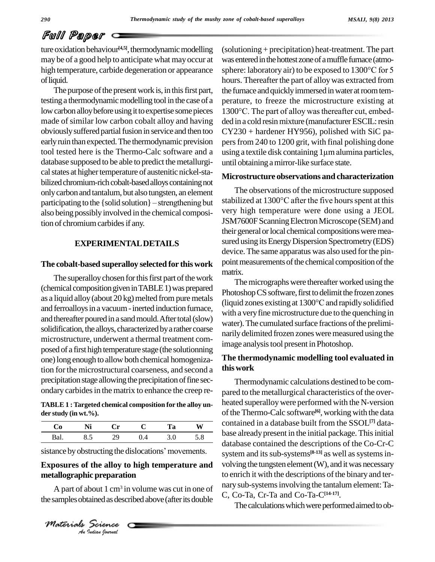# Full Paper

ture oxidation behaviour<sup>[4,5]</sup>, thermodynamic modelling (solution may be of a good help to anticipate what mayoccur at high temperature, carbide degeneration or appearance ofliquid.

The purpose of the present work is, in this first part, testing a thermodynamic modelling tool in the case of a made of similar low carbon cobalt alloy and having obviously suffered partial fusion in service and then too early ruin than expected. The thermodynamic prevision database supposed to be able to predict the metallurgical states at higher temperature of austenitic nickel-stabilized chromium-rich cobalt-based alloys containing not<br>only carbon and tantalum, but also tungsten, an element<br>participating to the {solid solution} – strengthening but onlycarbonand tantalum, but also tungsten, an element also being possibly involved in the chemical composition of chromium carbides if any.

# **EXPERIMENTALDETAILS**

#### **The cobalt-based superalloy selected for this work**

The superalloy chosen for this first part of the work (chemical compositiongiveninTABLE1)wasprepared and ferroalloys in a vacuum - inerted induction furnace, and thereafter poured in a sand mould. After total (slow) solidification, the alloys, characterized by a rather coarse microstructure, underwent a thermal treatment com posed of a first high temperature stage (the solutionning one) long enough to allow both chemical homogenization forthe microstructural coarseness, and second a precipitation stage allowing the precipitation of fine secondary carbidesin the matrix to enhance the creep re-

**TABLE 1 :Targeted chemical composition for the alloy un der study (in wt.%).**

| contained   | W   | `a       |  |      |  |
|-------------|-----|----------|--|------|--|
| base alread | 5.8 | $\cdots$ |  | ن. ب |  |

sistance by obstructing the dislocations' movements.

# *An***metallographic preparation Exposures of the alloy to high temperature and**

*I*c preparation<br>*I*out 1 cm<sup>3</sup> it<br>*Indian Journal* A part of about 1 cm<sup>3</sup> in volume was cut in one of  $\frac{1}{2}$ the samples obtained as described above (after its double



low carbon alloy before using it to expertise some pieces 1300°C. The part of alloy was thereafter cut, embedtool tested here is the Thermo-Calc software and a using a textile disk containing 1 um alumina particles, (solutioning + precipitation) heat-treatment. The part was entered in the hottest zone of a muffle furnace (atmosphere: laboratory air) to be exposed to 1300°C for 5 hours. Thereafter the part of alloy was extracted from the furnace and quickly immersed in water at room tem-<br>perature, to freeze the microstructure existing at<br>1300°C. The part of alloy was thereafter cut, embedperature, to freeze the microstructure existing at ded in a cold resin mixture (manufacturer ESCIL: resin CY230 + hardener HY956), polished with SiC pa pers from 240 to 1200 grit, with final polishing done  $CY230 + \text{hardener HY956}$ , polished with SiC papers from 240 to 1200 grit, with final polishing done<br>using a textile disk containing 1µm alumina particles, until obtaining amirror-like surface state.

#### **Microstructure observations and characterization**

The observations of the microstructure supposed stabilized at  $1300^{\circ}$ C after the five hours spent at this very high temperature were done using a JEOL JSM7600F Scanning Electron Microscope (SEM) and their general or local chemical compositions were measured using its Energy Dispersion Spectrometry (EDS) device. The same apparatus was also used forthe pin point measurements of the chemical composition of the matrix.

as a liquid alloy (about 20 kg) melted from pure metals (liquid zones existing at  $1300^{\circ}$ C and rapidly solidified The micrographs were thereafter worked using the Photoshop CS software, first to delimit the frozen zones The micrographs were thereafter worked using the<br>Photoshop CS software, first to delimit the frozen zones<br>(liquid zones existing at 1300°C and rapidly solidified with a very fine microstructure due to the quenching in water). The cumulated surface fractions of the preliminarily delimited frozen zones were measured using the image analysis tool present in Photoshop.

## **The thermodynamic modelling tool evaluated in thiswork**

Thermodynamic calculations destined to be com pared to the metallurgical characteristics of the over heated superalloywere performed with the N-version of the Thermo-Calc software<sup>[6]</sup>, working with the data contained in a database built from the SSOL **[7]** data base already present in the initial package. This initial database contained the descriptions of the Co-Cr-C system and its sub-systems<sup>[8-13]</sup> as well as systems involving the tungsten element (W), and it was necessary to enrich it with the descriptions of the binary and ternary sub-systems involving the tantalum element: Ta-C, Co-Ta, Cr-Ta and Co-Ta-C**[14-17]**.

The calculations which were performed aimed to ob-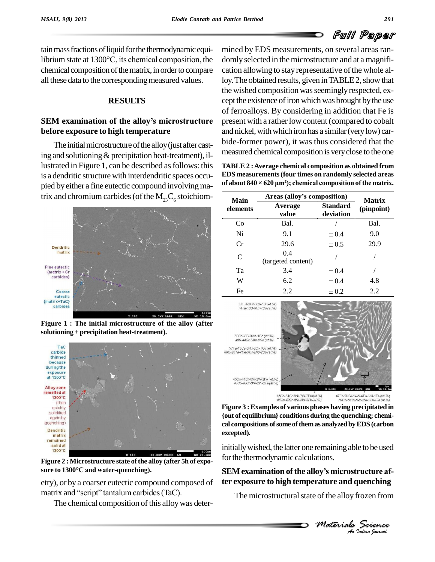tain mass fractions of liquid for the thermodynamic equitain mass fractions of liquid for the thermodynamic equi-<br>librium state at 1300°C, its chemical composition, the domly chemical composition of the matrix, in order to compare all these data to the corresponding measured values.

# **RESULTS**

# **SEM examination of the alloyís microstructure before exposure to high temperature**

The initial microstructure of the alloy (just after casting and solutioning  $&$  precipitation heat-treatment), illustrated in Figure 1, can be described as follows: this is a dendritic structure with interdendritic spaces occu pied by either a fine eutectic compound involving matrix and chromium carbides (of the  $M_{23}C_6$  stoichiom-



**Figure 1 : The initial microstructure of the alloy (after solutioning + precipitation heat-treatment).**



**Figure 2 : Microstructure state ofthe alloy (after 5h of expo is 1300 °C**<br>Figure 2 : Microstructure state of the alloy (<br>sure to 1300°C and water-quenching).

etry), or by a coarser eutectic compound composed of **ter** sure to 1300°C and water-quenching).<br>etry), or by a coarser eutectic compound compose<br>matrix and ''script'' tantalum carbides (TaC).

The chemical composition of this alloy was deter-

mined by EDS measurements, on several areas ran domly selected in the microstructure and at a magnification allowing to stay representative of the whole alloy. The obtained results, given in TABLE 2, show that the wished composition was seemingly respected, except the existence of iron which was brought by the use of ferroalloys. By considering in addition that Fe is present with a rather low content (compared to cobalt and nickel, with which iron has a similar (very low) carbide-former power), it was thus considered that the measured chemical composition is veryclose to the one

of about  $840 \times 620 \text{ }\mu\text{m}^2$ ; chemical composition of the matrix. TABLE 2 : Average chemical composition as obtained from<br>EDS measurements (four times on randomly selected areas<br>of about 840 × 620 µm²); chemical composition of the matrix. **EDS measurements(four times on randomly selected areas**

| Main     | Areas (alloy's composition) | <b>Matrix</b>                |            |
|----------|-----------------------------|------------------------------|------------|
| elements | Average<br>value            | <b>Standard</b><br>deviation | (pinpoint) |
| Co       | Bal.                        |                              | Bal.       |
| Ni       | 9.1                         | $\pm 0.4$                    | 9.0        |
| Cr       | 29.6                        | $\pm 0.5$                    | 29.9       |
| C        | 0.4<br>(targeted content)   |                              |            |
| Ta       | 3.4                         | $\pm 0.4$                    |            |
| W        | 6.2                         | $\pm 0.4$                    | 4.8        |
| Fe       | 2.2                         | $\pm 0.2$                    | 2.2        |





mitially wished, the latter one remaining able to be used<br>for the thermodynamic calculations.<br>**SEM examination of the alloy's microstructure af**initially wished, the latter one remaining able to be used for the thermodynamic calculations.

# *M M* **Indiana** *I* **<b>Indian**<br> *Materials Science*<br> *Materials Science*<br> *A Materials* **ter exposure to high temperature and quenching**

The microstructural state of the alloy frozen from

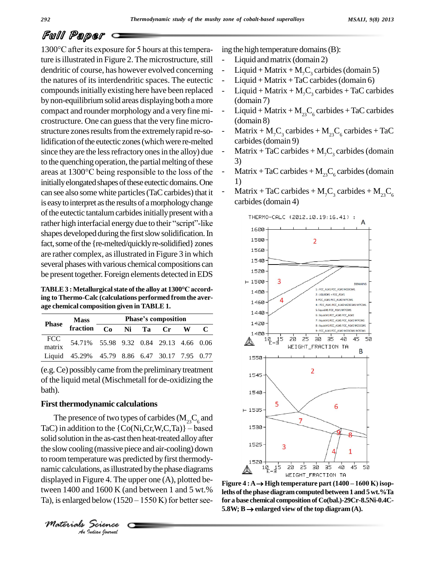# Full Paper

1300°C after its exposure for 5 hours at this temperature is illustrated in Figure 2. The microstructure, still dendritic of course, has however evolved concerning the natures of its interdendritic spaces. The eutectic compoundsinitially existing here have been replaced bynon-equilibriumsolid areas displaying both a more compact and rounder morphology and a very fine mi crostructure. One can guessthat the very fine micro structure zones results from the extremely rapid re-solidification of the eutectic zones (which were re-melted since they are the less refractory ones in the alloy) due <br>to the quenching operation, the partial melting of these 3)<br>areas at 1300°C being responsible to the loss of the - M to the quenching operation, the partial melting of these initially elongated shapes of these eutectic domains. One can see also some white particles (TaC carbides) that it is easy to interpret as the results of a morphology change of the eutectic tantalum carbides initially present with a rather high interfacial energy due to their "script"-like of the eutectic tantalum carbides initially present with a shapes developed during the first slow solidification. In fact, some of the {re-melted/quickly re-solidified} zones are rather complex, asillustrated in Figure 3 in which several phases with various chemical compositions can **the present together. Foreign elements detected in EDS**<br> **TABLE 3** : Metallurgical state of the alloy at 1300°C accord-

**Phase**<br> **Phase**<br> **Phase**<br> **Phase**<br> **Phase**<br> **Phase**<br> **Phase**<br> **Phase**<br> **Phase**<br> **Phase**<br> **Phase**<br> **Phase**<br> **Phase**<br> **Phase**<br> **Phase**<br> **Phase**<br> **Phase**<br> **Phase**<br> **Phase**<br> **Phase**<br> **Phase**<br> **Phase**<br> **Phase**<br> **Phase**<br> **Phase ing to Thermo-Calc (calculations performed fromthe aver-**

|               | <b>Mass</b>                                   |             | <b>Phase's composition</b> |  |  |              |  |  |
|---------------|-----------------------------------------------|-------------|----------------------------|--|--|--------------|--|--|
| <b>Phase</b>  | fraction –                                    | Co Ni Ta Cr |                            |  |  | $\mathbf{W}$ |  |  |
| FCC<br>matrix | 54.71% 55.98 9.32 0.84 29.13 4.66 0.06        |             |                            |  |  |              |  |  |
|               | Liquid 45.29% 45.79 8.86 6.47 30.17 7.95 0.77 |             |                            |  |  |              |  |  |

(e.g.Ce) possiblycame fromthe preliminarytreatment of the liquid metal (Mischmetall for de-oxidizing the bath).

## **First thermodynamic calculations**

*An*namic calculations, asillustrated bythe phase diagrams *Igure 4. The*<br>*Igure 4. The*<br>*Iddian bournal* The presence of two types of carbides ( $M_{23}C_6$  and First thermodynamic calculations<br>
The presence of two types of carbides  $(M_{23}C_6$  and<br>
TaC) in addition to the {Co(Ni,Cr,W,C,Ta)} – based solid solution in the as-cast then heat-treated alloyafter the slowcooling (massive piece and air-cooling) down to room temperature was predicted by first thermodydisplayed in Figure 4. The upper one  $(A)$ , plotted bedisplayed in Figure 4: The upper one (A), protect between  $1400 - 1600$  K) isoptiveen 1400 and 1600 K (and between 1 and 5 wt.% leths of the phase diagram computed between 1 and 5 wt.% Ta namic calculations, as illustrated by the phase diagrams<br>displayed in Figure 4. The upper one (A), plotted be-<br>tween 1400 and 1600 K (and between 1 and 5 wt.% Figure 4: A  $\rightarrow$  High temperature part (1400 – 1600 K) isop-<br>T

*Materials Science*

ing the high temperature domains  $(B)$ :

- Liquid and matrix (domain 2)
- Liquid + Matrix +  $M<sub>7</sub>C<sub>3</sub>$  carbides (domain 5)
- $Liquid + Matrix + TaC$  carbides (domain 6)
- Liquid + Matrix + M<sub>7</sub>C<sub>3</sub> carbides + TaC carbides (domain 7)
- Liquid + Matrix +  $M_{23}C_6$  carbides + TaC carbides (domain 8)
- Matrix + M<sub>7</sub>C<sub>3</sub> carbides + M<sub>23</sub>C<sub>6</sub> carbides + TaC carbides (domain 9)
- Matrix + TaC carbides +  $M<sub>7</sub>C<sub>3</sub>$  carbides (domain 3)
- Matrix + TaC carbides +  $M_{23}C_6$  carbides (domain 1)
- Matrix + TaC carbides + M<sub>2</sub>C<sub>3</sub> carbides + M<sub>23</sub>C<sub>6</sub> carbides (domain 4)



**leths of the phase diagram computed between 1 and 5 wt.%Ta<br>for a base chemical composition of Co(bal.)-29Cr-8.5Ni-0.4C-<br>5.8W;**  $B \rightarrow$  **enlarged view of the top diagram (A). for a base chemical composition of Co(bal.)-29Cr-8.5Ni-0.4C-**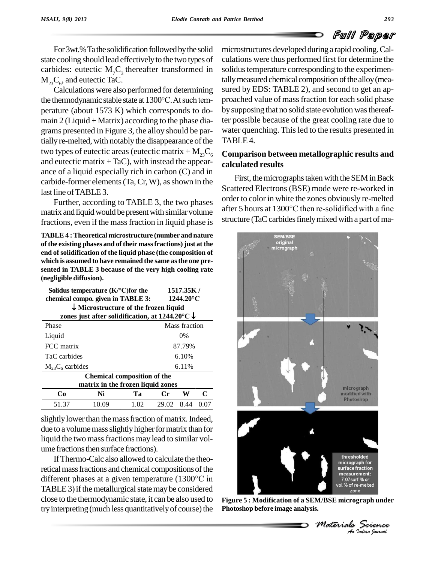For 3wt.% Ta the solidification followed by the solid state cooling should lead effectively to the two types of carbides: eutectic  $M<sub>7</sub>C<sub>3</sub>$  thereafter transformed in solidus  $\rm M_{_23}C_{_6}$ , and eutectic TaC.

Calculations were also performed for determining the thermodynamic stable state at <sup>1300</sup>°C.Atsuch tem perature (about 1573 K) which corresponds to do main  $2$  (Liquid + Matrix) according to the phase diagrams presented in Figure 3, the alloy should be partially re-melted, with notably the disappearance of the two types of eutectic areas (eutectic matrix  $+ M_{23}C_6$ and eutectic matrix  $+$  TaC), with instead the appearance of a liquid especially rich in carbon (C) and in carbide-former elements  $(Ta, Cr, W)$ , as shown in the last line of TABLE 3.

matrix and liquid would be present with similar volume fractions, even if the massfraction in liquid phase is

**Solidus temperature (K/<sup>o</sup>C)for the in 1517.35K** / **TABLE 4 :Theoretical microstructure (number and nature of the existing phases and of their massfractions) just at the end of solidification of the liquid phase (the composition of which is assumed to have remained the same asthe one pre- (negligible diffusion).**

| (neghgible unitusion). |                                                                      |                                                          |       |           |      |  |  |
|------------------------|----------------------------------------------------------------------|----------------------------------------------------------|-------|-----------|------|--|--|
|                        | Solidus temperature $(K/C)$ for the                                  |                                                          |       | 1517.35K/ |      |  |  |
|                        |                                                                      | chemical compo. given in TABLE 3:<br>$1244.20^{\circ}$ C |       |           |      |  |  |
|                        | $\downarrow$ Microstructure of the frozen liquid                     |                                                          |       |           |      |  |  |
|                        | zones just after solidification, at $1244.20^{\circ}$ C $\downarrow$ |                                                          |       |           |      |  |  |
| Phase                  |                                                                      | Mass fraction                                            |       |           |      |  |  |
| Liquid                 |                                                                      |                                                          | $0\%$ |           |      |  |  |
| FCC matrix             | 87.79%                                                               |                                                          |       |           |      |  |  |
| TaC carbides           | 6.10%                                                                |                                                          |       |           |      |  |  |
| $M_{23}C_6$ carbides   | 6.11%                                                                |                                                          |       |           |      |  |  |
|                        | <b>Chemical composition of the</b>                                   |                                                          |       |           |      |  |  |
|                        | matrix in the frozen liquid zones                                    |                                                          |       |           |      |  |  |
| Co.                    | Ni                                                                   | Ta                                                       | Сr    | W         | C    |  |  |
| 51.37                  | 10.09                                                                | 1.02                                                     | 29.02 | 8.44      | 0.07 |  |  |

slightly lower than the mass fraction of matrix. Indeed, due to a volume mass slightly higher for matrix than for liquid the two massfractions may lead to similar vol ume fractions then surface fractions).

IfThermo-Calc also allowed to calculate the theoretical mass fractions and chemical compositions of the If Thermo-Calc also allowed to calculate the theoretical mass fractions and chemical compositions of the different phases at a given temperature  $(1300^{\circ}\text{C}$  in TABLE 3) if the metallurgical state may be considered close to the thermodynamic state, it can be also used to try interpreting (much less quantitatively of course) the

microstructures developed duringa rapid cooling.Cal culations were thus performed first for determine the solidus temperature corresponding to the experimentally measured chemical composition of the alloy (measured by EDS: TABLE 2), and second to get an approached value of massfraction for each solid phase by supposing that no solid state evolution was thereafter possible because of the great cooling rate due to water quenching. This led to the results presented in TABLE 4.

# **Comparison between metallographic results and calculated results**

Further, according to TABLE 3, the two phases of the two color in white the zones obviously re-ineried<br>riv and liquid would be present with similar volume after 5 hours at  $1300^{\circ}$ C then re-solidified with a fine First, the micrographs taken with the SEM in Back Scattered Electrons (BSE) mode were re-worked in order to color in white the zones obviously re-melted Scattered Electrons (BSE) mode were re-worked in<br>order to color in white the zones obviously re-melted<br>after 5 hours at 1300°C then re-solidified with a fine structure (TaC carbides finely mixed with a part of ma-



**Figure 5 : Modification of a SEM/BSE micrograph under Photoshop before image analysis.**

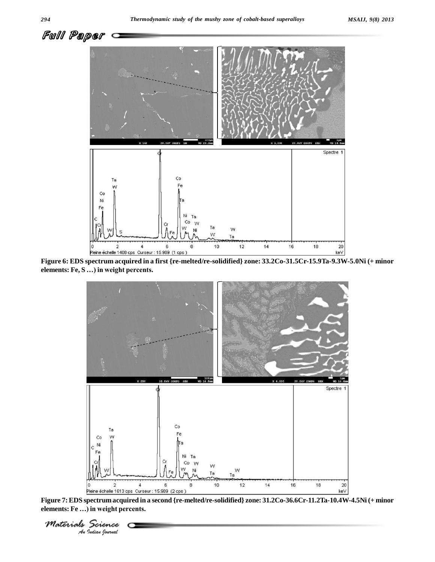

**Figure 6: EDS spectrum acquired in a first {re-melted/re-solidified} zone: 33.2Co-31.5Cr-15.9Ta-9.3W-5.0Ni (+ minor** <u>eleine échelle 1408 cps\_Curseur : 15.96</u><br>Figure 6: EDS spectrum acquired in a firs<br>elements: Fe, S ...) in weight percents.



**Figure 7:EDS spectrum acquired in a second {re-melted/re-solidified} zone: 31.2Co-36.6Cr-11.2Ta-10.4W-4.5Ni (+ minor** <u>Pleine échelle 1613 cps. Curse [Pleine échelle 1613 cps.</u><br>Figure 7: EDS spectrum acquired in<br>elements: Fe ...) in weight percents.

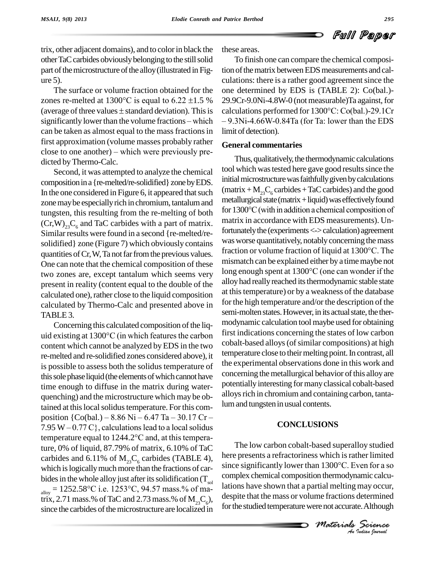

trix, other adjacent domains), and to colorin black the other TaC carbides obviously belonging to the still solid part of the microstructure of the alloy (illustrated in Figure 5).

The surface or volume fraction obtained for the one d The surface or volume fraction obtained for the one determined re-melted at 1300°C is equal to 6.22  $\pm$ 1.5 % 29.9Cr-9.0Ni The surface or volume fraction obtained for the one<br>zones re-melted at 1300°C is equal to 6.22  $\pm$ 1.5 % 29.9%<br>(average of three values  $\pm$  standard deviation). This is calcu zones re-melted at 1300°C is equal to 6.22  $\pm$ 1.5 % 29.9Cr (average of three values  $\pm$  standard deviation). This is calcular significantly lower than the volume fractions – which – 9.3N can be taken as almost equal to the mass fractions in first approximation (volume masses probably rather close to one another)  $-$  which were previously predicted byThermo-Calc.

Second, it was attempted to analyze the chemical composition in a {re-melted/re-solidified} zone by EDS. In the one considered in Figure 6, it appeared that such zone may be especially rich in chromium, tantalum and<br>tungsten, this resulting from the re-melting of both for  $1300^{\circ}$ C (with in addition a chemical composition of tungsten, this resulting from the re-melting of both  $(Cr, W)_{23}C_6$  and TaC carbides with a part of matrix. may Similar results were found in a second {re-melted/resolidified} zone (Figure 7) which obviously contains<br>quantities of Cr W Ta not far from the previous values fraction or volume fraction of liquid at 1300 °C. The quantities of Cr, W, Ta not far from the previous values. One can note that the chemical composition of these mismatch can be explained either by a time maybe not<br>two zones are except tantalum which seems very long enough spent at 1300°C (one can wonder if the two zones are, except tantalum which seems very present in reality (content equal to the double of the calculated one), rather close to the liquid composition calculated by Thermo-Calc and presented above in TABLE 3.

Concerning this calculated composition of the liquid existing at  $1300^{\circ}$ C (in which features the carbon content which cannot be analyzed byEDS in the two re-melted and re-solidified zones considered above), it is possible to assess both the solidus temperature of this sole phase liquid (the elements of which cannot have time enough to diffuse in the matrix during water quenching) and the microstructure which may be obtained at this local solidus temperature. For this comquenching) and the microstructure which may be obtained at this local solidus temperature. For this com-<br>position  $\{Co(bal.) - 8.86 \text{ Ni} - 6.47 \text{ Ta} - 30.17 \text{ Cr}$ tained at this local solidus temperature. For this composition  $\{Co(bal.) - 8.86\ Ni - 6.47\ Ta - 30.17\ Cr - 7.95\ W - 0.77\ C\}$ , calculations lead to a local solidus position  $\{Co(bal.) - 8.86 Ni - 6.47 Ta - 30.17 Cr - 7.95 W - 0.77 C\}$ , calculations lead to a local solidus temperature equal to  $1244.2^{\circ}C$  and, at this temperature, 0% of liquid, 87.79% of matrix, 6.10% of TaC carbides and 6.11% of  $M_{23}C_6$  carbides (TABLE 4), here presents a retractoriness which is rather limited which is logically much more than the fractions of car-<br>since significantly lower than 1300°C. Even for a so bides in the whole alloy just after its solidification  $(T_{\text{sol}})$ which is logically much more than the fractions of car-<br>bides in the whole alloy just after its solidification ( $T_{\text{sol}}$  comp.<br>alloy = 1252.58°C i.e. 1253°C, 94.57 mass.% of matrix, 2.71 mass.% of TaC and 2.73 mass.% of  $M_{23}C_6$ ), despite<br>since the carbides of the microstructure are localized in

these areas.

To finish one can compare the chemical composition of the matrix between EDS measurements and calculations: there is a rather good agreement since the one determined by EDS is (TABLE 2): Co(bal.)-<br>29.9Cr-9.0Ni-4.8W-0 (not measurable)Ta against, for<br>calculations performed for 1300°C: Co(bal.)-29.1Cr 29.9Cr-9.0Ni-4.8W-0 (notmeasurable)Ta against,for 9.3Ni-4.66W-0.84Ta (for Ta: lower than the EDS limit of detection).

## **General commentaries**

Thus, qualitatively, the thermodynamic calculations tool which was tested here gave good results since the initial microstructure was faithfully given by calculations (matrix +  $M_{23}C_6$  carbides + TaC carbides) and the good<br>metallurgical state (matrix + liquid) was effectively found<br>for 1300°C (with in addition a chemical composition of metallurgical state (matrix  $+$  liquid) was effectively found matrix in accordance with EDS measurements). Unfortunately the (experiments <-> calculation) agreement<br>was worse quantitatively, notably concerning the mass<br>fraction or volume fraction of liquid at 1300°C. The was worse quantitatively, notably concerning the mass mismatch can be explained either by a timemaybe not fraction or volume fraction of liquid at 1300°C. The<br>mismatch can be explained either by a time maybe not<br>long enough spent at 1300°C (one can wonder if the alloy had really reached its thermodynamic stable state at thistemperature) or by a weakness of the database for the high temperature and/or the description of the semi-molten states. However, in its actual state, the thermodynamic calculation tool maybe used for obtaining first indications concerning the states of low carbon cobalt-based alloys (of similar compositions) at high temperature close to their melting point. In contrast, all the experimental observations done in this work and concerning the metallurgical behavior of this alloy are potentiallyinteresting formanyclassical cobalt-based alloys rich in chromium and containing carbon, tantalum and tungsten in usual contents.

## **CONCLUSIONS**

*M* Indian *Mermodynamic calcuratial melting may occur,*<br> *Mericans determined*<br> *Materials Science*<br> *An Indian Ioarnal* complex chemical composition thermodynamic calcu-The low carbon cobalt-based superalloy studied here presents a refractoriness which is rather limited The low carbon cobalt-based superalloy studied<br>here presents a refractoriness which is rather limited<br>since significantly lower than 1300°C. Even for a so lations have shown that a partial melting may occur, despite that the mass or volume fractions determined for the studied temperature were not accurate. Although